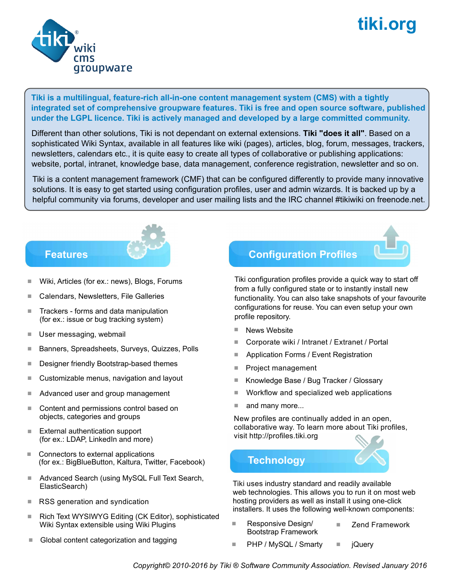

## tiki.org

Tiki is a multilingual, feature-rich all-in-one content management system (CMS) with a tightly integrated set of comprehensive groupware features. Tiki is free and open source software, published under the LGPL licence. Tiki is actively managed and developed by a large committed community.

Different than other solutions, Tiki is not dependant on external extensions. **Tiki "does it all"**. Based on a sophisticated Wiki Syntax, available in all features like wiki (pages), articles, blog, forum, messages, trackers, newsletters, calendars etc., it is quite easy to create all types of collaborative or publishing applications: website, portal, intranet, knowledge base, data management, conference registration, newsletter and so on.

Tiki is a content management framework (CMF) that can be configured differently to provide many innovative solutions. It is easy to get started using configuration profiles, user and admin wizards. It is backed up by a helpful community via forums, developer and user mailing lists and the IRC channel #tikiwiki on freenode.net.

#### Features

- Wiki, Articles (for ex.: news), Blogs, Forums
- Calendars, Newsletters, File Galleries
- $\blacksquare$  Trackers forms and data manipulation (for ex.: issue or bug tracking system)
- User messaging, webmail
- Banners, Spreadsheets, Surveys, Quizzes, Polls
- Designer friendly Bootstrap-based themes
- Customizable menus, navigation and layout
- Advanced user and group management
- Content and permissions control based on objects, categories and groups
- External authentication support (for ex.: LDAP, LinkedIn and more)
- Connectors to external applications (for ex.: BigBlueButton, Kaltura, Twitter, Facebook)
- Advanced Search (using MySQL Full Text Search, ElasticSearch) Ì.
- RSS generation and syndication
- Rich Text WYSIWYG Editing (CK Editor), sophisticated Wiki Syntax extensible using Wiki Plugins T.
- Global content categorization and tagging

### **Configuration Profiles**

Tiki configuration profiles provide a quick way to start off from a fully configured state or to instantly install new functionality. You can also take snapshots of your favourite configurations for reuse. You can even setup your own profile repository.

- News Website
- Corporate wiki / Intranet / Extranet / Portal
- Application Forms / Event Registration
- Project management
- Knowledge Base / Bug Tracker / Glossary
- Workflow and specialized web applications
- and many more...

New profiles are continually added in an open, collaborative way. To learn more about Tiki profiles, visit http://profiles.tiki.org



Tiki uses industry standard and readily available web technologies. This allows you to run it on most web hosting providers as well as install it using one-click installers. It uses the following well-known components:

- Zend Framework Responsive Design/ Bootstrap Framework
- $\blacksquare$  PHP / MySQL / Smarty  $\blacksquare$  jQuery